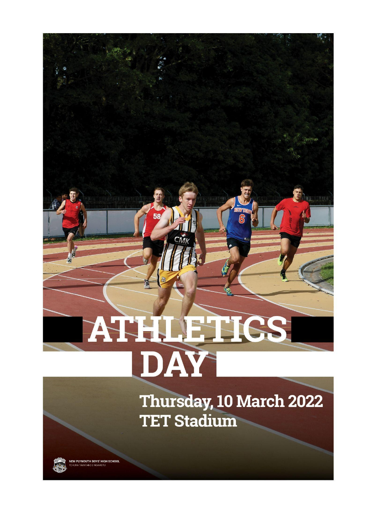# **TATHLETICS** DAY

Смі

Thursday, 10 March 2022 **TET Stadium** 

NEW PLYMOUTH BOYS' HIGH SCHOOL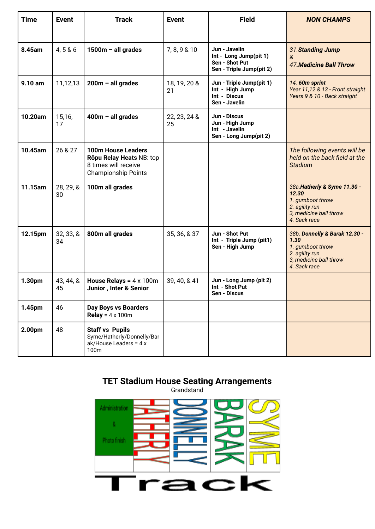| <b>Time</b> | <b>Event</b>    | <b>Track</b>                                                                                         | <b>Event</b>       | <b>Field</b>                                                                          | <b>NON CHAMPS</b>                                                                                                     |
|-------------|-----------------|------------------------------------------------------------------------------------------------------|--------------------|---------------------------------------------------------------------------------------|-----------------------------------------------------------------------------------------------------------------------|
|             |                 |                                                                                                      |                    |                                                                                       |                                                                                                                       |
| 8.45am      | 4,5 & 6         | $1500m - all grades$                                                                                 | 7, 8, 9 & 10       | Jun - Javelin<br>Int - Long Jump(pit 1)<br>Sen - Shot Put<br>Sen - Triple Jump(pit 2) | 31. Standing Jump<br>&<br><b>47. Medicine Ball Throw</b>                                                              |
| 9.10 am     | 11,12,13        | $200m - all grades$                                                                                  | 18, 19, 20 &<br>21 | Jun - Triple Jump(pit 1)<br>Int - High Jump<br>Int - Discus<br>Sen - Javelin          | 14. 60m sprint<br>Year 11,12 & 13 - Front straight<br>Years 9 & 10 - Back straight                                    |
| 10.20am     | 15,16,<br>17    | $400m - all grades$                                                                                  | 22, 23, 24 &<br>25 | Jun - Discus<br>Jun - High Jump<br>Int - Javelin<br>Sen - Long Jump(pit 2)            |                                                                                                                       |
| 10.45am     | 26 & 27         | 100m House Leaders<br>Rōpu Relay Heats NB: top<br>8 times will receive<br><b>Championship Points</b> |                    |                                                                                       | The following events will be<br>held on the back field at the<br><b>Stadium</b>                                       |
| 11.15am     | 28, 29, &<br>30 | 100m all grades                                                                                      |                    |                                                                                       | 38a. Hatherly & Syme 11.30 -<br>12.30<br>1. gumboot throw<br>2. agility run<br>3, medicine ball throw<br>4. Sack race |
| 12.15pm     | 32, 33, 8<br>34 | 800m all grades                                                                                      | 35, 36, & 37       | Jun - Shot Put<br>Int - Triple Jump (pit1)<br>Sen - High Jump                         | 38b. Donnelly & Barak 12.30 -<br>1.30<br>1. gumboot throw<br>2. agility run<br>3, medicine ball throw<br>4. Sack race |
| 1.30pm      | 43, 44, &<br>45 | <b>House Relays = <math>4 \times 100</math>m</b><br>Junior, Inter & Senior                           | 39, 40, & 41       | Jun - Long Jump (pit 2)<br>Int - Shot Put<br>Sen - Discus                             |                                                                                                                       |
| 1.45pm      | 46              | <b>Day Boys vs Boarders</b><br><b>Relay</b> = $4 \times 100$ m                                       |                    |                                                                                       |                                                                                                                       |
| 2.00pm      | 48              | <b>Staff vs Pupils</b><br>Syme/Hatherly/Donnelly/Bar<br>ak/House Leaders = 4 x<br>100m               |                    |                                                                                       |                                                                                                                       |

# **TET Stadium House Seating Arrangements**

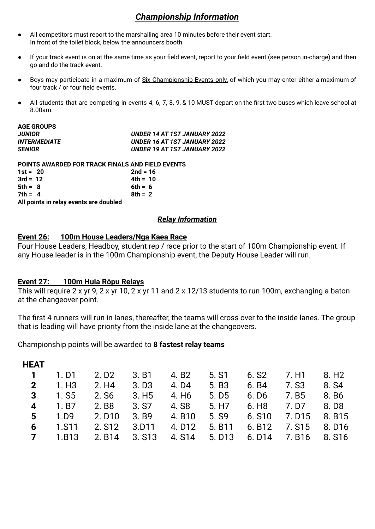# *Championship Information*

- All competitors must report to the marshalling area 10 minutes before their event start. In front of the toilet block, below the announcers booth.
- If your track event is on at the same time as your field event, report to your field event (see person in-charge) and then go and do the track event.
- Boys may participate in a maximum of Six Championship Events only, of which you may enter either a maximum of four track / or four field events.
- All students that are competing in events 4, 6, 7, 8, 9, & 10 MUST depart on the first two buses which leave school at 8.00am.

| <b>AGE GROUPS</b>                                       |                              |
|---------------------------------------------------------|------------------------------|
| <b>JUNIOR</b>                                           | UNDER 14 AT 1ST JANUARY 2022 |
| <b>INTERMEDIATE</b>                                     | UNDER 16 AT 1ST JANUARY 2022 |
| <b>SENIOR</b>                                           | UNDER 19 AT 1ST JANUARY 2022 |
| <b>POINTS AWARDED FOR TRACK FINALS AND FIELD EVENTS</b> |                              |
| $1st = 20$                                              | $2nd = 16$                   |
| $3rd = 12$                                              | $4th = 10$                   |
| $5th = 8$                                               | 6th = $6$                    |
| $7th = 4$                                               | $8th = 2$                    |
| All points in relay events are doubled                  |                              |
|                                                         |                              |

## *Relay Information*

#### **Event 26: 100m House Leaders/Nga Kaea Race**

Four House Leaders, Headboy, student rep / race prior to the start of 100m Championship event. If any House leader is in the 100m Championship event, the Deputy House Leader will run.

#### **Event 27: 100m Huia Rōpu Relays**

This will require 2 x yr 9, 2 x yr 10, 2 x yr 11 and 2 x 12/13 students to run 100m, exchanging a baton at the changeover point.

The first 4 runners will run in lanes, thereafter, the teams will cross over to the inside lanes. The group that is leading will have priority from the inside lane at the changeovers.

Championship points will be awarded to **8 fastest relay teams**

| <b>HEAT</b>    |              |                    |                   |                    |                    |                    |        |                    |
|----------------|--------------|--------------------|-------------------|--------------------|--------------------|--------------------|--------|--------------------|
| $\overline{1}$ | 1. D1        | 2. D <sub>2</sub>  | 3. B1             | 4. B2              | 5. S1              | 6. S <sub>2</sub>  | 7. H1  | 8. H <sub>2</sub>  |
| $\overline{2}$ | 1. H3        | 2. H4              | 3. D <sub>3</sub> | 4. D4              | 5. B <sub>3</sub>  | 6. B4              | 7. S3  | 8. S <sub>4</sub>  |
| 3              | 1. S5        | 2. S <sub>6</sub>  | 3. H5             | 4. H <sub>6</sub>  | 5. D <sub>5</sub>  | 6. D <sub>6</sub>  | 7.B5   | 8. B <sub>6</sub>  |
| 4              | 1. B7        | 2. B <sub>8</sub>  | 3. S7             | 4. S8              | 5. H <sub>7</sub>  | 6. H <sub>8</sub>  | 7. D7  | 8. D <sub>8</sub>  |
| 5              | 1.D9         | 2. D <sub>10</sub> | 3.B9              | 4. B10             | 5. S <sub>9</sub>  | 6. S10             | 7. D15 | 8. B <sub>15</sub> |
| 6              | <b>1.S11</b> | 2. S <sub>12</sub> | 3.D11             | 4. D <sub>12</sub> | 5. B <sub>11</sub> | 6. B12             | 7. S15 | 8. D <sub>16</sub> |
| $\overline{7}$ | 1.B13        | 2. B <sub>14</sub> | 3. S13            | 4. S14             | 5. D <sub>13</sub> | 6. D <sub>14</sub> | 7. B16 | 8. S <sub>16</sub> |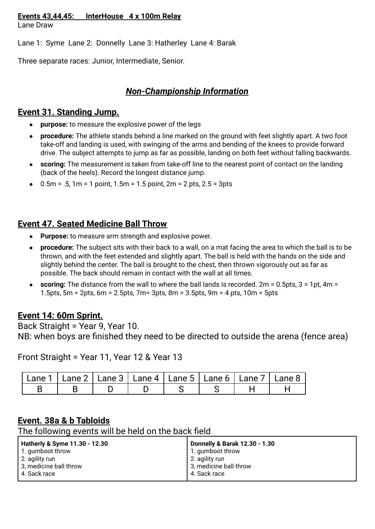### **Events 43,44,45: InterHouse 4 x 100m Relay**

Lane Draw

Lane 1: Syme Lane 2: Donnelly Lane 3: Hatherley Lane 4: Barak

Three separate races: Junior, Intermediate, Senior.

# *Non-Championship Information*

# **Event 31. Standing Jump.**

- **purpose:** to measure the explosive power of the legs
- **procedure:** The athlete stands behind a line marked on the ground with feet slightly apart. A two foot take-off and landing is used, with swinging of the arms and bending of the knees to provide forward drive. The subject attempts to jump as far as possible, landing on both feet without falling backwards.
- **scoring:** The measurement is taken from take-off line to the nearest point of contact on the landing (back of the heels). Record the longest distance jump.
- $0.5m = .5$ , 1 $m = 1$  point, 1.5 $m = 1.5$  point, 2 $m = 2$  pts, 2.5 = 3pts

# **Event 47. Seated Medicine Ball Throw**

- **Purpose:** to measure arm strength and explosive power.
- **procedure:** The subject sits with their back to a wall, on a mat facing the area to which the ball is to be thrown, and with the feet extended and slightly apart. The ball is held with the hands on the side and slightly behind the center. The ball is brought to the chest, then thrown vigorously out as far as possible. The back should remain in contact with the wall at all times.
- **scoring:** The distance from the wall to where the ball lands is recorded. 2m = 0.5pts, 3 = 1pt, 4m = 1.5pts, 5m = 2pts, 6m = 2.5pts, 7m= 3pts, 8m = 3.5pts, 9m = 4 pts, 10m = 5pts

# **Event 14: 60m Sprint.**

Back Straight = Year 9, Year 10. NB: when boys are finished they need to be directed to outside the arena (fence area)

Front Straight = Year 11, Year 12 & Year 13

| Lane 1   Lane 2   Lane 3   Lane 4   Lane 5   Lane 6   Lane 7   Lane 8 |  |  |  |  |
|-----------------------------------------------------------------------|--|--|--|--|
|                                                                       |  |  |  |  |

# **Event. 38a & b Tabloids**

The following events will be held on the back field

| Hatherly & Syme 11.30 - 12.30 | Donnelly & Barak 12.30 - 1.30 |
|-------------------------------|-------------------------------|
| 1. gumboot throw              | 1. gumboot throw              |
| 2. agility run                | 2. agility run                |
| 3, medicine ball throw        | 3, medicine ball throw        |
| 4. Sack race                  | 4. Sack race                  |
|                               |                               |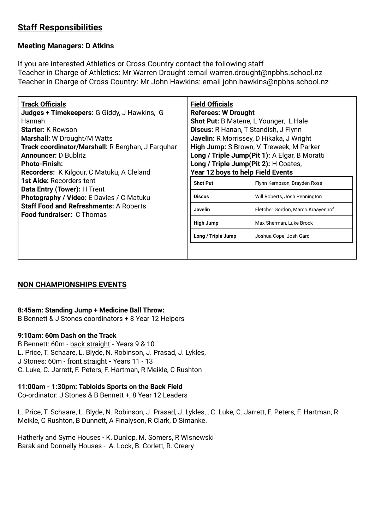# **Staff Responsibilities**

## **Meeting Managers: D Atkins**

If you are interested Athletics or Cross Country contact the following staff Teacher in Charge of Athletics: Mr Warren Drought :email warren.drought@npbhs.school.nz Teacher in Charge of Cross Country: Mr John Hawkins: email john.hawkins@npbhs.school.nz

## **NON CHAMPIONSHIPS EVENTS**

#### **8:45am: Standing Jump + Medicine Ball Throw:**

B Bennett & J Stones coordinators + 8 Year 12 Helpers

#### **9:10am: 60m Dash on the Track**

B Bennett: 60m - back straight **-** Years 9 & 10 L. Price, T. Schaare, L. Blyde, N. Robinson, J. Prasad, J. Lykles, J Stones: 60m - front straight **-** Years 11 - 13 C. Luke, C. Jarrett, F. Peters, F. Hartman, R Meikle, C Rushton

#### **11:00am - 1:30pm: Tabloids Sports on the Back Field**

Co-ordinator: J Stones & B Bennett +, 8 Year 12 Leaders

L. Price, T. Schaare, L. Blyde, N. Robinson, J. Prasad, J. Lykles, , C. Luke, C. Jarrett, F. Peters, F. Hartman, R Meikle, C Rushton, B Dunnett, A Finalyson, R Clark, D Simanke.

Hatherly and Syme Houses - K. Dunlop, M. Somers, R Wisnewski Barak and Donnelly Houses - A. Lock, B. Corlett, R. Creery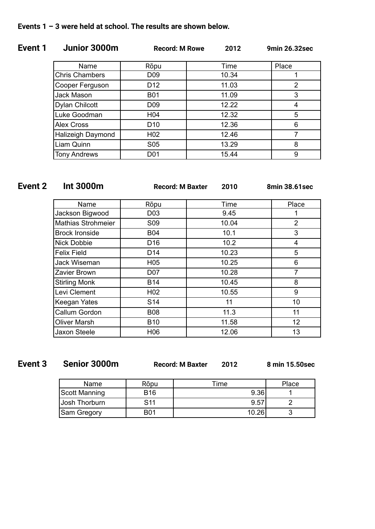# **Event 1 Junior 3000m Record: M Rowe 2012 9min 26.32sec**

| Name                  | Rōpu             | Time  | Place          |
|-----------------------|------------------|-------|----------------|
| <b>Chris Chambers</b> | D <sub>09</sub>  | 10.34 |                |
| Cooper Ferguson       | D <sub>12</sub>  | 11.03 | $\overline{2}$ |
| Jack Mason            | <b>B01</b>       | 11.09 | 3              |
| Dylan Chilcott        | D <sub>09</sub>  | 12.22 | 4              |
| Luke Goodman          | H <sub>04</sub>  | 12.32 | 5              |
| <b>Alex Cross</b>     | D <sub>10</sub>  | 12.36 | 6              |
| Halizeigh Daymond     | H <sub>02</sub>  | 12.46 |                |
| Liam Quinn            | S <sub>05</sub>  | 13.29 | 8              |
| <b>Tony Andrews</b>   | D <sub>0</sub> 1 | 15.44 | 9              |

| Event 2 | <b>Int 3000m</b>          | <b>Record: M Baxter</b> | 2010  | 8min 38.61sec   |
|---------|---------------------------|-------------------------|-------|-----------------|
|         | Name                      | Rōpu                    | Time  | Place           |
|         | Jackson Bigwood           | D <sub>03</sub>         | 9.45  |                 |
|         | <b>Mathias Strohmeier</b> | S09                     | 10.04 | $\overline{2}$  |
|         | <b>Brock Ironside</b>     | <b>B04</b>              | 10.1  | 3               |
|         | Nick Dobbie               | D <sub>16</sub>         | 10.2  | 4               |
|         | <b>Felix Field</b>        | D <sub>14</sub>         | 10.23 | 5               |
|         | Jack Wiseman              | H <sub>05</sub>         | 10.25 | 6               |
|         | Zavier Brown              | D07                     | 10.28 | $\overline{7}$  |
|         | <b>Stirling Monk</b>      | <b>B14</b>              | 10.45 | 8               |
|         | Levi Clement              | H <sub>02</sub>         | 10.55 | 9               |
|         | Keegan Yates              | S <sub>14</sub>         | 11    | 10              |
|         | Callum Gordon             | <b>B08</b>              | 11.3  | 11              |
|         | <b>Oliver Marsh</b>       | <b>B10</b>              | 11.58 | 12 <sub>2</sub> |
|         | Jaxon Steele              | H06                     | 12.06 | 13              |

**Event 3 Senior 3000m Record: M Baxter 2012 8 min 15.50sec**

| <b>Name</b>   | Rōpu            | Time  | Place |
|---------------|-----------------|-------|-------|
| Scott Manning | <b>B16</b>      | 9.36' |       |
| Uosh Thorburn | S <sub>11</sub> | 9.57  |       |
| Sam Gregory   | <b>B01</b>      | 10.26 |       |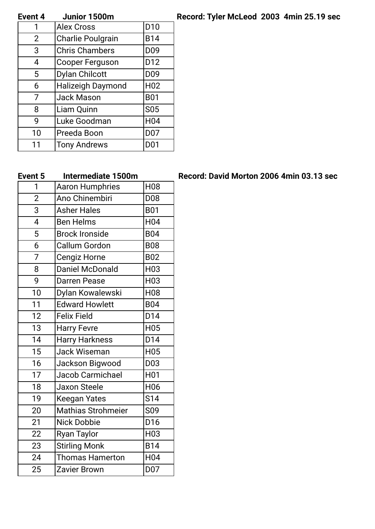# **Event 4 Junior 1500m Record: Tyler McLeod 2003 4min 25.19 sec**

| Event 4        | JUNIOL 1900M             |                  |
|----------------|--------------------------|------------------|
|                | <b>Alex Cross</b>        | D <sub>10</sub>  |
| $\overline{2}$ | <b>Charlie Poulgrain</b> | <b>B14</b>       |
| 3              | <b>Chris Chambers</b>    | D <sub>09</sub>  |
| 4              | <b>Cooper Ferguson</b>   | D12              |
| 5              | <b>Dylan Chilcott</b>    | D <sub>09</sub>  |
| 6              | <b>Halizeigh Daymond</b> | H <sub>02</sub>  |
| 7              | <b>Jack Mason</b>        | <b>B01</b>       |
| 8              | Liam Quinn               | <b>S05</b>       |
| 9              | Luke Goodman             | H <sub>04</sub>  |
| 10             | Preeda Boon              | D07              |
| 11             | <b>Tony Andrews</b>      | D <sub>0</sub> 1 |

| 1              | <b>Aaron Humphries</b>    | H <sub>08</sub> |
|----------------|---------------------------|-----------------|
| $\overline{2}$ | Ano Chinembiri            | D08             |
| 3              | <b>Asher Hales</b>        | <b>B01</b>      |
| $\overline{4}$ | <b>Ben Helms</b>          | H <sub>04</sub> |
| 5              | <b>Brock Ironside</b>     | <b>B04</b>      |
| 6              | <b>Callum Gordon</b>      | <b>B08</b>      |
| $\overline{7}$ | Cengiz Horne              | <b>B02</b>      |
| 8              | <b>Daniel McDonald</b>    | H <sub>03</sub> |
| 9              | <b>Darren Pease</b>       | H <sub>03</sub> |
| 10             | Dylan Kowalewski          | <b>H08</b>      |
| 11             | <b>Edward Howlett</b>     | <b>B04</b>      |
| 12             | <b>Felix Field</b>        | D14             |
| 13             | <b>Harry Fevre</b>        | H <sub>05</sub> |
| 14             | <b>Harry Harkness</b>     | D14             |
| 15             | <b>Jack Wiseman</b>       | H <sub>05</sub> |
| 16             | Jackson Bigwood           | D <sub>03</sub> |
| 17             | Jacob Carmichael          | H <sub>01</sub> |
| 18             | <b>Jaxon Steele</b>       | H06             |
| 19             | <b>Keegan Yates</b>       | S14             |
| 20             | <b>Mathias Strohmeier</b> | S <sub>09</sub> |
| 21             | <b>Nick Dobbie</b>        | D <sub>16</sub> |
| 22             | <b>Ryan Taylor</b>        | H <sub>03</sub> |
| 23             | <b>Stirling Monk</b>      | <b>B14</b>      |
| 24             | <b>Thomas Hamerton</b>    | H04             |
| 25             | Zavier Brown              | D07             |

## **Event 5 Intermediate 1500m Record: David Morton 2006 4min 03.13 sec**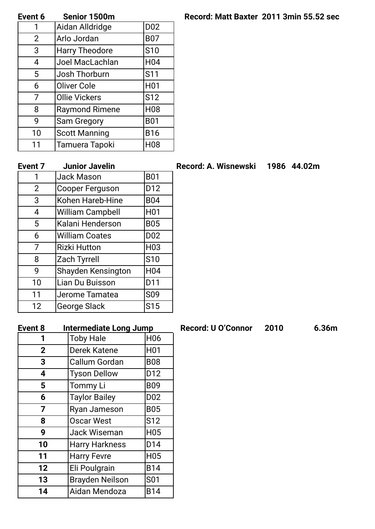| Event 6 | Senior 1500m          |                  |
|---------|-----------------------|------------------|
|         | Aidan Alldridge       | D <sub>02</sub>  |
| 2       | Arlo Jordan           | <b>B07</b>       |
| 3       | <b>Harry Theodore</b> | <b>S10</b>       |
| 4       | Joel MacLachlan       | H <sub>04</sub>  |
| 5       | Josh Thorburn         | S <sub>11</sub>  |
| 6       | <b>Oliver Cole</b>    | H <sub>0</sub> 1 |
| 7       | <b>Ollie Vickers</b>  | S <sub>12</sub>  |
| 8       | <b>Raymond Rimene</b> | <b>H08</b>       |
| 9       | Sam Gregory           | <b>B01</b>       |
| 10      | <b>Scott Manning</b>  | <b>B16</b>       |
| 11      | Tamuera Tapoki        | H <sub>08</sub>  |

| 1              | <b>Jack Mason</b>       | <b>B01</b>       |
|----------------|-------------------------|------------------|
| $\overline{2}$ | <b>Cooper Ferguson</b>  | D <sub>12</sub>  |
| 3              | Kohen Hareb-Hine        | <b>B04</b>       |
| 4              | <b>William Campbell</b> | H <sub>0</sub> 1 |
| 5              | Kalani Henderson        | <b>B05</b>       |
| 6              | William Coates          | D <sub>02</sub>  |
| 7              | <b>Rizki Hutton</b>     | H <sub>03</sub>  |
| 8              | <b>Zach Tyrrell</b>     | <b>S10</b>       |
| 9              | Shayden Kensington      | H <sub>04</sub>  |
| 10             | Lian Du Buisson         | D11              |
| 11             | Jerome Tamatea          | S <sub>09</sub>  |
| 12             | <b>George Slack</b>     | S <sub>15</sub>  |

| <b>Event 8</b> | <b>Intermediate Long Jump</b> |                  |
|----------------|-------------------------------|------------------|
| 1              | <b>Toby Hale</b>              | H <sub>06</sub>  |
| $\overline{2}$ | Derek Katene                  | H <sub>0</sub> 1 |
| 3              | Callum Gordan                 | <b>B08</b>       |
| 4              | <b>Tyson Dellow</b>           | D12              |
| 5              | <b>Tommy Li</b>               | <b>B09</b>       |
| 6              | <b>Taylor Bailey</b>          | D <sub>02</sub>  |
| $\overline{7}$ | Ryan Jameson                  | <b>B05</b>       |
| 8              | <b>Oscar West</b>             | S <sub>12</sub>  |
| 9              | Jack Wiseman                  | H <sub>05</sub>  |
| 10             | <b>Harry Harkness</b>         | D <sub>14</sub>  |
| 11             | <b>Harry Fevre</b>            | H <sub>05</sub>  |
| 12             | Eli Poulgrain                 | <b>B14</b>       |
| 13             | <b>Brayden Neilson</b>        | S <sub>01</sub>  |
| 14             | Aidan Mendoza                 | <b>B14</b>       |

# **Event 6 Senior 1500m Record: Matt Baxter 2011 3min 55.52 sec**

# **Event 7 Junior Javelin Record: A. Wisnewski 1986 44.02m**

## **Event 8 Intermediate Long Jump Record: U O'Connor 2010 6.36m**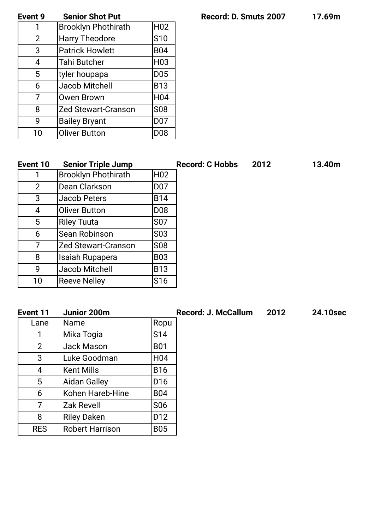**Event 9 Senior Shot Put Record: D. Smuts 2007 17.69m**

| <b>Event 9</b> | <b>Senior Shot Put</b>     |                  |
|----------------|----------------------------|------------------|
| 1              | <b>Brooklyn Phothirath</b> | H <sub>02</sub>  |
| $\overline{2}$ | <b>Harry Theodore</b>      | S <sub>10</sub>  |
| 3              | <b>Patrick Howlett</b>     | <b>B04</b>       |
| 4              | <b>Tahi Butcher</b>        | H <sub>03</sub>  |
| 5              | tyler houpapa              | <b>D05</b>       |
| 6              | Jacob Mitchell             | <b>B13</b>       |
| 7              | <b>Owen Brown</b>          | H <sub>04</sub>  |
| 8              | <b>Zed Stewart-Cranson</b> | <b>S08</b>       |
| 9              | <b>Bailey Bryant</b>       | D <sub>0</sub> 7 |
| 10             | <b>Oliver Button</b>       | D <sub>08</sub>  |

| Event 10       | <b>Senior Triple Jump</b>  |                 | <b>Record: C Hobbs</b> | 2012 | 13.40m |
|----------------|----------------------------|-----------------|------------------------|------|--------|
|                | <b>Brooklyn Phothirath</b> | H <sub>02</sub> |                        |      |        |
| $\overline{2}$ | Dean Clarkson              | <b>D07</b>      |                        |      |        |
| 3              | Jacob Peters               | <b>B14</b>      |                        |      |        |
| 4              | <b>Oliver Button</b>       | D <sub>08</sub> |                        |      |        |
| 5              | <b>Riley Tuuta</b>         | <b>S07</b>      |                        |      |        |
| 6              | Sean Robinson              | S03             |                        |      |        |
| 7              | Zed Stewart-Cranson        | S08             |                        |      |        |
| 8              | Isaiah Rupapera            | <b>B03</b>      |                        |      |        |
| 9              | Jacob Mitchell             | <b>B13</b>      |                        |      |        |
| 10             | <b>Reeve Nelley</b>        | S16             |                        |      |        |
|                |                            |                 |                        |      |        |

| Event 11   | Junior 200m            |                 | <b>Record: J. McCallum</b> | 2012 | 24.10sec |
|------------|------------------------|-----------------|----------------------------|------|----------|
| Lane       | lName                  | Ropu            |                            |      |          |
|            | Mika Togia             | S14             |                            |      |          |
| 2          | Jack Mason             | <b>B01</b>      |                            |      |          |
| 3          | Luke Goodman           | H <sub>04</sub> |                            |      |          |
| 4          | Kent Mills             | <b>B16</b>      |                            |      |          |
| 5          | <b>Aidan Galley</b>    | D <sub>16</sub> |                            |      |          |
| 6          | Kohen Hareb-Hine       | <b>B04</b>      |                            |      |          |
| 7          | <b>Zak Revell</b>      | S <sub>06</sub> |                            |      |          |
| 8          | <b>Riley Daken</b>     | D <sub>12</sub> |                            |      |          |
| <b>RES</b> | <b>Robert Harrison</b> | <b>B05</b>      |                            |      |          |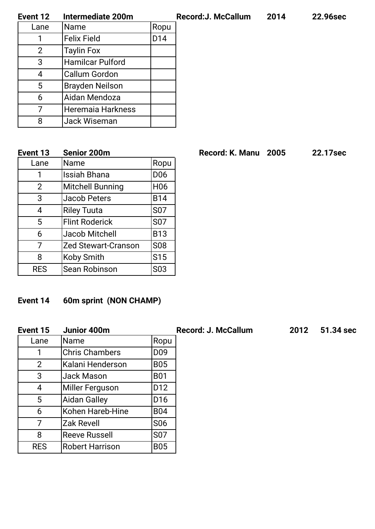| Event 12 | <b>Intermediate 200m</b> |      | Reco |
|----------|--------------------------|------|------|
| Lane     | <b>Name</b>              | Ropu |      |
|          | <b>Felix Field</b>       | D14  |      |
| 2        | <b>Taylin Fox</b>        |      |      |
| 3        | <b>Hamilcar Pulford</b>  |      |      |
| 4        | Callum Gordon            |      |      |
| 5        | <b>Brayden Neilson</b>   |      |      |
| 6        | Aidan Mendoza            |      |      |
|          | Heremaia Harkness        |      |      |
| Զ        | Jack Wiseman             |      |      |

| Event 13   | Senior 200m                |                  | <b>Record: K. Manu</b> | 2005 | 22.17sec |
|------------|----------------------------|------------------|------------------------|------|----------|
| Lane       | lName                      | Ropu             |                        |      |          |
| 1          | <b>Issiah Bhana</b>        | D <sub>06</sub>  |                        |      |          |
| 2          | Mitchell Bunning           | H <sub>06</sub>  |                        |      |          |
| 3          | Jacob Peters               | <b>B14</b>       |                        |      |          |
| 4          | <b>Riley Tuuta</b>         | S <sub>07</sub>  |                        |      |          |
| 5          | <b>Flint Roderick</b>      | S <sub>07</sub>  |                        |      |          |
| 6          | Jacob Mitchell             | <b>B13</b>       |                        |      |          |
| 7          | <b>Zed Stewart-Cranson</b> | <b>S08</b>       |                        |      |          |
| 8          | Koby Smith                 | S <sub>15</sub>  |                        |      |          |
| <b>RES</b> | Sean Robinson              | S <sub>0</sub> 3 |                        |      |          |

# **Event 14 60m sprint (NON CHAMP)**

| Event 15       | Junior 400m            |                 | <b>Record: J. McCallum</b> | 2012 | 51.34 sec |
|----------------|------------------------|-----------------|----------------------------|------|-----------|
| Lane           | lName                  | Ropu            |                            |      |           |
|                | <b>Chris Chambers</b>  | D <sub>09</sub> |                            |      |           |
| $\overline{2}$ | Kalani Henderson       | <b>B05</b>      |                            |      |           |
| 3              | Jack Mason             | <b>B01</b>      |                            |      |           |
| $\overline{4}$ | Miller Ferguson        | D <sub>12</sub> |                            |      |           |
| 5              | Aidan Galley           | D <sub>16</sub> |                            |      |           |
| 6              | Kohen Hareb-Hine       | <b>B04</b>      |                            |      |           |
| 7              | Zak Revell             | <b>S06</b>      |                            |      |           |
| 8              | <b>Reeve Russell</b>   | S <sub>07</sub> |                            |      |           |
| <b>RES</b>     | <b>Robert Harrison</b> | <b>B05</b>      |                            |      |           |

**Event 12 Intermediate 200m Record:J. McCallum 2014 22.96sec**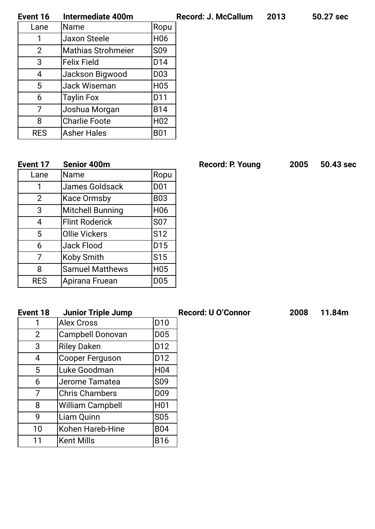| Event 16       | Intermediate 400m         |                 |
|----------------|---------------------------|-----------------|
| Lane           | Name                      | Ropu            |
| 1              | <b>Jaxon Steele</b>       | H <sub>06</sub> |
| $\overline{2}$ | <b>Mathias Strohmeier</b> | S <sub>09</sub> |
| 3              | <b>Felix Field</b>        | D14             |
| 4              | Jackson Bigwood           | D <sub>03</sub> |
| 5              | Jack Wiseman              | H <sub>05</sub> |
| 6              | <b>Taylin Fox</b>         | D11             |
| 7              | Joshua Morgan             | <b>B14</b>      |
| 8              | <b>Charlie Foote</b>      | H <sub>02</sub> |
| <b>RES</b>     | <b>Asher Hales</b>        | <b>B01</b>      |
|                |                           |                 |

| Event 17       | <b>Senior 400m</b>      |                 |
|----------------|-------------------------|-----------------|
| Lane           | Name                    | Ropu            |
| 1              | James Goldsack          | D <sub>01</sub> |
| $\overline{2}$ | <b>Kace Ormsby</b>      | <b>B03</b>      |
| 3              | <b>Mitchell Bunning</b> | H <sub>06</sub> |
| 4              | <b>Flint Roderick</b>   | <b>S07</b>      |
| 5              | <b>Ollie Vickers</b>    | S <sub>12</sub> |
| 6              | Jack Flood              | D <sub>15</sub> |
| 7              | Koby Smith              | S <sub>15</sub> |
| 8              | <b>Samuel Matthews</b>  | H <sub>05</sub> |
| <b>RES</b>     | Apirana Fruean          | D <sub>05</sub> |

# **Event 18 Junior Triple Jump Record: U O'Connor 2008 11.84m**

| 1  | <b>Alex Cross</b>       | D <sub>10</sub>  |
|----|-------------------------|------------------|
| 2  | Campbell Donovan        | <b>D05</b>       |
| 3  | <b>Riley Daken</b>      | D12              |
| 4  | <b>Cooper Ferguson</b>  | D <sub>12</sub>  |
| 5  | Luke Goodman            | H <sub>04</sub>  |
| 6  | Jerome Tamatea          | <b>S09</b>       |
| 7  | <b>Chris Chambers</b>   | D <sub>09</sub>  |
| 8  | <b>William Campbell</b> | H <sub>0</sub> 1 |
| 9  | Liam Quinn              | <b>S05</b>       |
| 10 | Kohen Hareb-Hine        | <b>B04</b>       |
| 11 | <b>Kent Mills</b>       | <b>B16</b>       |

**Event 17 Senior 400m Record: P. Young 2005 50.43 sec**

# **Event 16 Intermediate 400m Record: J. McCallum 2013 50.27 sec**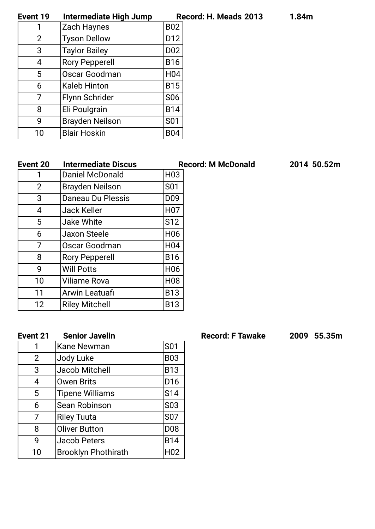| Event 19 | Intermediate High Jump | Record: H. Meads 2013 | 1.84m |
|----------|------------------------|-----------------------|-------|
|          |                        |                       |       |

| 1              | Zach Haynes            | <b>B02</b>      |
|----------------|------------------------|-----------------|
| $\overline{2}$ | <b>Tyson Dellow</b>    | D <sub>12</sub> |
| 3              | <b>Taylor Bailey</b>   | D <sub>02</sub> |
| 4              | <b>Rory Pepperell</b>  | <b>B16</b>      |
| 5              | Oscar Goodman          | H <sub>04</sub> |
| 6              | <b>Kaleb Hinton</b>    | <b>B15</b>      |
| 7              | Flynn Schrider         | <b>S06</b>      |
| 8              | Eli Poulgrain          | <b>B14</b>      |
| 9              | <b>Brayden Neilson</b> | <b>S01</b>      |
| 10             | <b>Blair Hoskin</b>    | B04             |

| Event 20        | <b>Intermediate Discus</b> | <b>Record: M McDonald</b> | 2014 50.52m |
|-----------------|----------------------------|---------------------------|-------------|
|                 | Daniel McDonald            | H <sub>03</sub>           |             |
| $\overline{2}$  | <b>Brayden Neilson</b>     | S <sub>01</sub>           |             |
| 3               | Daneau Du Plessis          | D <sub>09</sub>           |             |
| $\overline{4}$  | Jack Keller                | H <sub>07</sub>           |             |
| 5               | Jake White                 | S <sub>12</sub>           |             |
| 6               | Jaxon Steele               | H <sub>06</sub>           |             |
| 7               | Oscar Goodman              | H <sub>04</sub>           |             |
| 8               | <b>Rory Pepperell</b>      | <b>B16</b>                |             |
| 9               | <b>Will Potts</b>          | H <sub>06</sub>           |             |
| 10 <sup>1</sup> | <b>Viliame Rova</b>        | <b>H08</b>                |             |
| 11              | Arwin Leatuafi             | <b>B13</b>                |             |
| 12              | <b>Riley Mitchell</b>      | <b>B13</b>                |             |

# **Event 21 Senior Javelin Record: F Tawake 2009 55.35m**

| 1              | <b>Kane Newman</b>         | <b>S01</b>      |
|----------------|----------------------------|-----------------|
| $\overline{2}$ | Jody Luke                  | <b>B03</b>      |
| 3              | Jacob Mitchell             | <b>B13</b>      |
| 4              | <b>Owen Brits</b>          | D <sub>16</sub> |
| 5              | <b>Tipene Williams</b>     | S <sub>14</sub> |
| 6              | <b>Sean Robinson</b>       | <b>S03</b>      |
| 7              | <b>Riley Tuuta</b>         | <b>S07</b>      |
| 8              | <b>Oliver Button</b>       | <b>D08</b>      |
| 9              | <b>Jacob Peters</b>        | <b>B14</b>      |
| 10             | <b>Brooklyn Phothirath</b> | H <sub>02</sub> |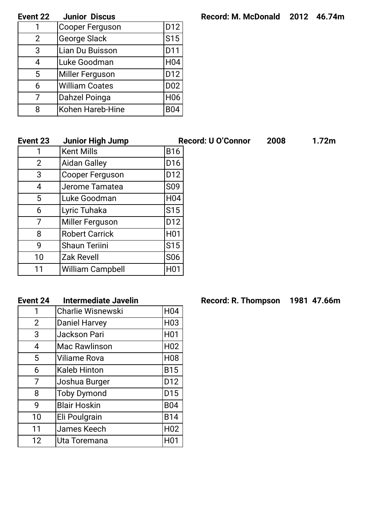| <b>Event 22</b><br>Junior Discus | Record: M. McDonald 2012 46.74m |  |  |
|----------------------------------|---------------------------------|--|--|
|----------------------------------|---------------------------------|--|--|

| Event 22       | <b>Junior Discus</b>   |                 |
|----------------|------------------------|-----------------|
|                | <b>Cooper Ferguson</b> | D12             |
| $\overline{2}$ | George Slack           | S <sub>15</sub> |
| 3              | Lian Du Buisson        | D11             |
| 4              | Luke Goodman           | H <sub>04</sub> |
| 5              | Miller Ferguson        | D12             |
| 6              | <b>William Coates</b>  | D02             |
| 7              | Dahzel Poinga          | H <sub>06</sub> |
| 8              | Kohen Hareb-Hine       | <b>B04</b>      |
|                |                        |                 |

| Event 23        | <b>Junior High Jump</b> |                  | <b>Record: U O'Connor</b> | 2008 | 1.72 <sub>m</sub> |
|-----------------|-------------------------|------------------|---------------------------|------|-------------------|
|                 | <b>Kent Mills</b>       | <b>B16</b>       |                           |      |                   |
| 2               | <b>Aidan Galley</b>     | D <sub>16</sub>  |                           |      |                   |
| 3               | Cooper Ferguson         | D <sub>12</sub>  |                           |      |                   |
| 4               | Jerome Tamatea          | S <sub>09</sub>  |                           |      |                   |
| 5               | Luke Goodman            | H <sub>04</sub>  |                           |      |                   |
| 6               | Lyric Tuhaka            | S <sub>15</sub>  |                           |      |                   |
| 7               | Miller Ferguson         | D <sub>12</sub>  |                           |      |                   |
| 8               | <b>Robert Carrick</b>   | H <sub>0</sub> 1 |                           |      |                   |
| 9               | <b>Shaun Teriini</b>    | S <sub>15</sub>  |                           |      |                   |
| 10 <sup>1</sup> | <b>Zak Revell</b>       | S <sub>06</sub>  |                           |      |                   |
| 11              | <b>William Campbell</b> | H <sub>0</sub> 1 |                           |      |                   |

| 1              | <b>Charlie Wisnewski</b> | H <sub>04</sub>  |
|----------------|--------------------------|------------------|
| $\overline{2}$ | <b>Daniel Harvey</b>     | H <sub>03</sub>  |
| 3              | Jackson Pari             | H <sub>01</sub>  |
| 4              | <b>Mac Rawlinson</b>     | H <sub>02</sub>  |
| 5              | <b>Viliame Rova</b>      | H <sub>08</sub>  |
| 6              | <b>Kaleb Hinton</b>      | <b>B15</b>       |
| 7              | Joshua Burger            | D12              |
| 8              | <b>Toby Dymond</b>       | D <sub>15</sub>  |
| 9              | <b>Blair Hoskin</b>      | <b>B04</b>       |
| 10             | Eli Poulgrain            | <b>B14</b>       |
| 11             | James Keech              | H <sub>02</sub>  |
| 12             | Uta Toremana             | H <sub>0</sub> 1 |

**Event 24 Intermediate Javelin Record:** R. Thompson 1981 47.66m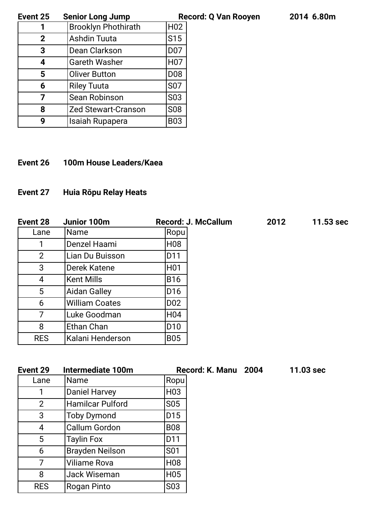**Event 25 Senior Long Jump Record: Q Van Rooyen 2014 6.80m**

| Event 25       | <b>Senior Long Jump</b>    | Re               |
|----------------|----------------------------|------------------|
|                | <b>Brooklyn Phothirath</b> | H <sub>02</sub>  |
| $\overline{2}$ | <b>Ashdin Tuuta</b>        | S <sub>15</sub>  |
| 3              | Dean Clarkson              | D07              |
| 4              | <b>Gareth Washer</b>       | H <sub>0</sub> 7 |
| 5              | <b>Oliver Button</b>       | D <sub>08</sub>  |
| 6              | <b>Riley Tuuta</b>         | <b>S07</b>       |
| 7              | Sean Robinson              | S <sub>0</sub> 3 |
| 8              | <b>Zed Stewart-Cranson</b> | <b>S08</b>       |
| 9              | Isaiah Rupapera            | <b>B03</b>       |

**Event 26 100m House Leaders/Kaea**

# **Event 27 Huia Rōpu Relay Heats**

| Event 28       | Junior 100m           | <b>Record: J. McCallum</b> | 2012 | 11.53 sec |
|----------------|-----------------------|----------------------------|------|-----------|
| Lane           | <b>Name</b>           | Ropu                       |      |           |
|                | Denzel Haami          | H08                        |      |           |
| $\overline{2}$ | Lian Du Buisson       | D11                        |      |           |
| 3              | Derek Katene          | H01                        |      |           |
| 4              | <b>Kent Mills</b>     | <b>B16</b>                 |      |           |
| 5              | <b>Aidan Galley</b>   | D16                        |      |           |
| 6              | <b>William Coates</b> | D <sub>02</sub>            |      |           |
| 7              | Luke Goodman          | H04                        |      |           |
| 8              | Ethan Chan            | D10                        |      |           |
| <b>RES</b>     | Kalani Henderson      | <b>B05</b>                 |      |           |

| Event 29       | <b>Intermediate 100m</b> |                  | Record: K. Manu 2004 | $11.03$ sec |
|----------------|--------------------------|------------------|----------------------|-------------|
| Lane           | <b>Name</b>              | Ropu             |                      |             |
| 1              | Daniel Harvey            | H <sub>03</sub>  |                      |             |
| $\overline{2}$ | Hamilcar Pulford         | <b>S05</b>       |                      |             |
| 3              | <b>Toby Dymond</b>       | D <sub>15</sub>  |                      |             |
| 4              | Callum Gordon            | <b>B08</b>       |                      |             |
| 5              | <b>Taylin Fox</b>        | D11              |                      |             |
| 6              | <b>Brayden Neilson</b>   | S <sub>0</sub> 1 |                      |             |
| 7              | <b>Viliame Rova</b>      | H <sub>08</sub>  |                      |             |
| 8              | Jack Wiseman             | H <sub>05</sub>  |                      |             |
| <b>RES</b>     | Rogan Pinto              | S <sub>0</sub> 3 |                      |             |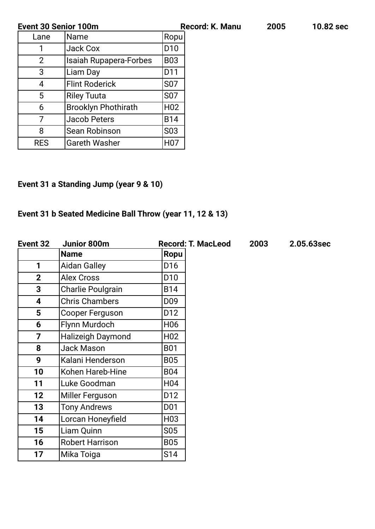| <b>Event 30 Senior 100m</b> |                               |                  | <b>Record: K. Manu</b> | 2005 | 10.82 sec |
|-----------------------------|-------------------------------|------------------|------------------------|------|-----------|
| Lane                        | Name                          | Ropu             |                        |      |           |
|                             | Jack Cox                      | D <sub>10</sub>  |                        |      |           |
| $\overline{2}$              | <b>Isaiah Rupapera-Forbes</b> | <b>B03</b>       |                        |      |           |
| 3                           | Liam Day                      | D11              |                        |      |           |
| 4                           | Flint Roderick                | S <sub>0</sub> 7 |                        |      |           |
| 5                           | Riley Tuuta                   | S <sub>07</sub>  |                        |      |           |
| 6                           | <b>Brooklyn Phothirath</b>    | H <sub>02</sub>  |                        |      |           |
| 7                           | Jacob Peters                  | <b>B14</b>       |                        |      |           |
| 8                           | Sean Robinson                 | S <sub>0</sub> 3 |                        |      |           |
| <b>RES</b>                  | <b>Gareth Washer</b>          | H <sub>0</sub> 7 |                        |      |           |

# **Event 31 a Standing Jump (year 9 & 10)**

# **Event 31 b Seated Medicine Ball Throw (year 11, 12 & 13)**

| Event 32                | Junior 800m              |                 | <b>Record: T. MacLeod</b> | 2003 | 2.05.63sec |
|-------------------------|--------------------------|-----------------|---------------------------|------|------------|
|                         | <b>Name</b>              | <b>Ropu</b>     |                           |      |            |
| 1                       | <b>Aidan Galley</b>      | D <sub>16</sub> |                           |      |            |
| $\overline{2}$          | <b>Alex Cross</b>        | D <sub>10</sub> |                           |      |            |
| $\overline{3}$          | <b>Charlie Poulgrain</b> | <b>B14</b>      |                           |      |            |
| $\overline{\mathbf{4}}$ | <b>Chris Chambers</b>    | D <sub>09</sub> |                           |      |            |
| $5\phantom{.0}$         | Cooper Ferguson          | D12             |                           |      |            |
| 6                       | Flynn Murdoch            | H <sub>06</sub> |                           |      |            |
| $\overline{7}$          | <b>Halizeigh Daymond</b> | H <sub>02</sub> |                           |      |            |
| 8                       | <b>Jack Mason</b>        | <b>B01</b>      |                           |      |            |
| 9                       | Kalani Henderson         | <b>B05</b>      |                           |      |            |
| 10                      | Kohen Hareb-Hine         | <b>B04</b>      |                           |      |            |
| 11                      | Luke Goodman             | H04             |                           |      |            |
| 12                      | Miller Ferguson          | D12             |                           |      |            |
| 13                      | <b>Tony Andrews</b>      | D01             |                           |      |            |
| 14                      | Lorcan Honeyfield        | H03             |                           |      |            |
| 15                      | Liam Quinn               | S05             |                           |      |            |
| 16                      | <b>Robert Harrison</b>   | <b>B05</b>      |                           |      |            |
| 17                      | Mika Toiga               | S14             |                           |      |            |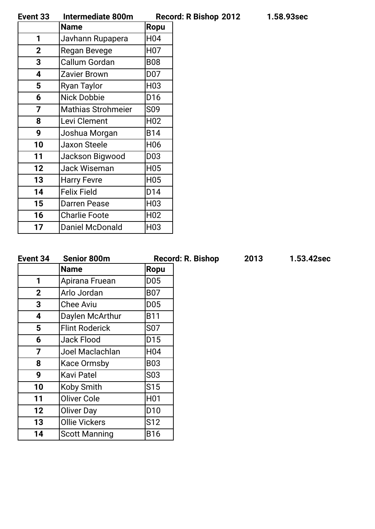| Event 33 | Intermediate 800m | <b>Record: R Bishop 2012</b> | 1.58.93sec |
|----------|-------------------|------------------------------|------------|

|             | <b>Name</b>               | <b>Ropu</b>      |
|-------------|---------------------------|------------------|
| 1           | Javhann Rupapera          | H <sub>04</sub>  |
| $\mathbf 2$ | Regan Bevege              | H <sub>0</sub> 7 |
| 3           | Callum Gordan             | <b>B08</b>       |
| 4           | <b>Zavier Brown</b>       | D07              |
| 5           | Ryan Taylor               | H <sub>03</sub>  |
| 6           | <b>Nick Dobbie</b>        | D <sub>16</sub>  |
| 7           | <b>Mathias Strohmeier</b> | S <sub>09</sub>  |
| 8           | Levi Clement              | H <sub>02</sub>  |
| 9           | Joshua Morgan             | <b>B14</b>       |
| 10          | <b>Jaxon Steele</b>       | H <sub>06</sub>  |
| 11          | Jackson Bigwood           | D <sub>03</sub>  |
| 12          | <b>Jack Wiseman</b>       | H <sub>05</sub>  |
| 13          | <b>Harry Fevre</b>        | H <sub>05</sub>  |
| 14          | <b>Felix Field</b>        | D14              |
| 15          | <b>Darren Pease</b>       | H <sub>03</sub>  |
| 16          | <b>Charlie Foote</b>      | H <sub>02</sub>  |
| 17          | <b>Daniel McDonald</b>    | H <sub>03</sub>  |

| Event 34        | <b>Senior 800m</b>    |                 | <b>Record: R. Bishop</b> | 2013 | 1.53.42sec |
|-----------------|-----------------------|-----------------|--------------------------|------|------------|
|                 | <b>Name</b>           | <b>Ropu</b>     |                          |      |            |
| 1               | Apirana Fruean        | D <sub>05</sub> |                          |      |            |
| $\mathbf{2}$    | Arlo Jordan           | <b>B07</b>      |                          |      |            |
| 3               | <b>Chee Aviu</b>      | <b>D05</b>      |                          |      |            |
| 4               | Daylen McArthur       | <b>B11</b>      |                          |      |            |
| 5               | <b>Flint Roderick</b> | <b>S07</b>      |                          |      |            |
| 6               | Jack Flood            | D <sub>15</sub> |                          |      |            |
| 7               | Joel Maclachlan       | H <sub>04</sub> |                          |      |            |
| 8               | <b>Kace Ormsby</b>    | <b>B03</b>      |                          |      |            |
| 9               | <b>Kavi Patel</b>     | S03             |                          |      |            |
| 10              | Koby Smith            | S15             |                          |      |            |
| 11              | Oliver Cole           | H01             |                          |      |            |
| 12 <sub>2</sub> | <b>Oliver Day</b>     | D <sub>10</sub> |                          |      |            |
| 13 <sup>°</sup> | <b>Ollie Vickers</b>  | S12             |                          |      |            |
| 14              | <b>Scott Manning</b>  | <b>B16</b>      |                          |      |            |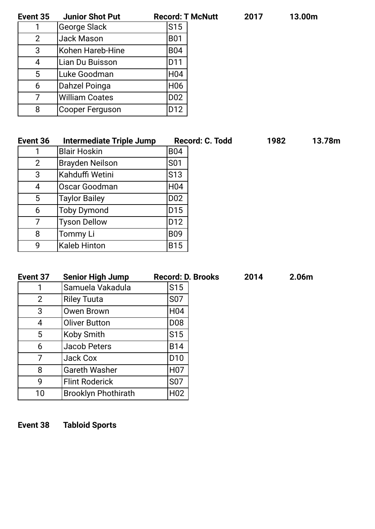| т<br>ï | ſ |  |  |
|--------|---|--|--|
|        |   |  |  |

| 13.00m |  |  |
|--------|--|--|
|--------|--|--|

| <b>Junior Shot Put</b> | <b>Record: T McNutt</b> | 2017 | 13.00m |
|------------------------|-------------------------|------|--------|
| George Slack           | S <sub>15</sub>         |      |        |
| Jack Mason             | <b>B01</b>              |      |        |
| Kohen Hareb-Hine       | <b>B04</b>              |      |        |
| Lian Du Buisson        | D11                     |      |        |
| Luke Goodman           | H <sub>04</sub>         |      |        |
| Dahzel Poinga          | H <sub>06</sub>         |      |        |
| <b>William Coates</b>  | D <sub>02</sub>         |      |        |
| Cooper Ferguson        | D12                     |      |        |
|                        |                         |      |        |

| Event 36       | <b>Intermediate Triple Jump</b> | Record: C. Todd          | 1982 | 13.78m |
|----------------|---------------------------------|--------------------------|------|--------|
|                | <b>Blair Hoskin</b>             | <b>B04</b>               |      |        |
| $\overline{2}$ | <b>Brayden Neilson</b>          | <b>S01</b>               |      |        |
| 3              | Kahduffi Wetini                 | S13                      |      |        |
| 4              | Oscar Goodman                   | H04                      |      |        |
| 5              | <b>Taylor Bailey</b>            | D <sub>02</sub>          |      |        |
| 6              | <b>Toby Dymond</b>              | D <sub>15</sub>          |      |        |
| 7              | <b>Tyson Dellow</b>             | D12                      |      |        |
| 8              | Tommy Li                        | <b>B09</b>               |      |        |
| 9              | <b>Kaleb Hinton</b>             | <b>B15</b>               |      |        |
|                |                                 |                          |      |        |
| Event 37       | <b>Senior High Jump</b>         | <b>Record: D. Brooks</b> | 2014 | 2.06m  |

| Event 37 | <b>Senior High Jump</b>    | Record: D. Brool |
|----------|----------------------------|------------------|
|          | Samuela Vakadula           | S <sub>15</sub>  |
| 2        | <b>Riley Tuuta</b>         | S07              |
| 3        | <b>Owen Brown</b>          | H <sub>0</sub> 4 |
| 4        | <b>Oliver Button</b>       | <b>D08</b>       |
| 5        | Koby Smith                 | S <sub>15</sub>  |
| 6        | <b>Jacob Peters</b>        | <b>B14</b>       |
|          | <b>Jack Cox</b>            | D <sub>10</sub>  |
| 8        | <b>Gareth Washer</b>       | H <sub>0</sub> 7 |
| 9        | <b>Flint Roderick</b>      | S07              |
| 10       | <b>Brooklyn Phothirath</b> | H <sub>02</sub>  |
|          |                            |                  |

**Event 38 Tabloid Sports**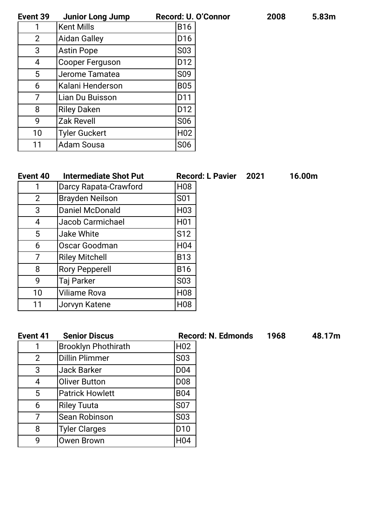**Event 39 Junior Long Jump Record: U. O'Connor 2008 5.83m**

| <b>Junior Long Jump</b> | Record: U.O      |
|-------------------------|------------------|
| <b>Kent Mills</b>       | <b>B16</b>       |
| <b>Aidan Galley</b>     | D <sub>16</sub>  |
| <b>Astin Pope</b>       | S <sub>0</sub> 3 |
| Cooper Ferguson         | D <sub>12</sub>  |
| Jerome Tamatea          | S <sub>09</sub>  |
| Kalani Henderson        | <b>B05</b>       |
| Lian Du Buisson         | D11              |
| <b>Riley Daken</b>      | D <sub>12</sub>  |
| <b>Zak Revell</b>       | S <sub>06</sub>  |
| <b>Tyler Guckert</b>    | H <sub>02</sub>  |
| <b>Adam Sousa</b>       | <b>S06</b>       |
|                         |                  |

| Event 40       | <b>Intermediate Shot Put</b> |                  | <b>Record: L Pavier</b> | 2021 | 16.00m |
|----------------|------------------------------|------------------|-------------------------|------|--------|
|                | Darcy Rapata-Crawford        | H <sub>08</sub>  |                         |      |        |
| $\overline{2}$ | <b>Brayden Neilson</b>       | S <sub>01</sub>  |                         |      |        |
| 3              | <b>Daniel McDonald</b>       | H <sub>03</sub>  |                         |      |        |
| 4              | Jacob Carmichael             | H <sub>0</sub> 1 |                         |      |        |
| 5              | <b>Jake White</b>            | S <sub>12</sub>  |                         |      |        |
| 6              | Oscar Goodman                | H <sub>04</sub>  |                         |      |        |
| 7              | <b>Riley Mitchell</b>        | <b>B13</b>       |                         |      |        |
| 8              | <b>Rory Pepperell</b>        | <b>B16</b>       |                         |      |        |
| 9              | Taj Parker                   | S <sub>0</sub> 3 |                         |      |        |
| 10             | <b>Viliame Rova</b>          | H <sub>08</sub>  |                         |      |        |
| 11             | Jorvyn Katene                | H <sub>08</sub>  |                         |      |        |

| Event 41 | <b>Senior Discus</b>       |                  | <b>Record: N. Edmonds</b> | 1968 | 48.17m |
|----------|----------------------------|------------------|---------------------------|------|--------|
|          | <b>Brooklyn Phothirath</b> | H <sub>02</sub>  |                           |      |        |
| 2        | <b>Dillin Plimmer</b>      | S <sub>0</sub> 3 |                           |      |        |
| 3        | <b>Jack Barker</b>         | D <sub>0</sub> 4 |                           |      |        |
| 4        | <b>Oliver Button</b>       | D <sub>08</sub>  |                           |      |        |
| 5        | <b>Patrick Howlett</b>     | <b>B04</b>       |                           |      |        |
| 6        | <b>Riley Tuuta</b>         | <b>S07</b>       |                           |      |        |
| 7        | Sean Robinson              | S03              |                           |      |        |
| 8        | <b>Tyler Clarges</b>       | D <sub>10</sub>  |                           |      |        |
| 9        | Owen Brown                 | H <sub>04</sub>  |                           |      |        |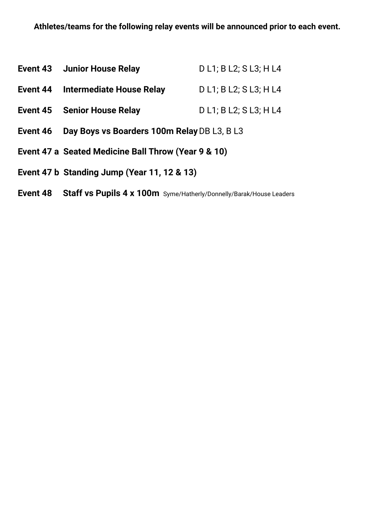|          | <b>Event 43 Junior House Relay</b>                  | D L1; B L2; S L3; H L4 |
|----------|-----------------------------------------------------|------------------------|
| Event 44 | Intermediate House Relay                            | D L1; B L2; S L3; H L4 |
| Event 45 | <b>Senior House Relay</b>                           | D L1; B L2; S L3; H L4 |
| Event 46 | Day Boys vs Boarders 100m Relay DB L3, B L3         |                        |
|          | Event 47 a Seated Medicine Ball Throw (Year 9 & 10) |                        |
|          | Event 47 b Standing Jump (Year 11, 12 & 13)         |                        |

**Event 48 Staff vs Pupils 4 x 100m** Syme/Hatherly/Donnelly/Barak/House Leaders